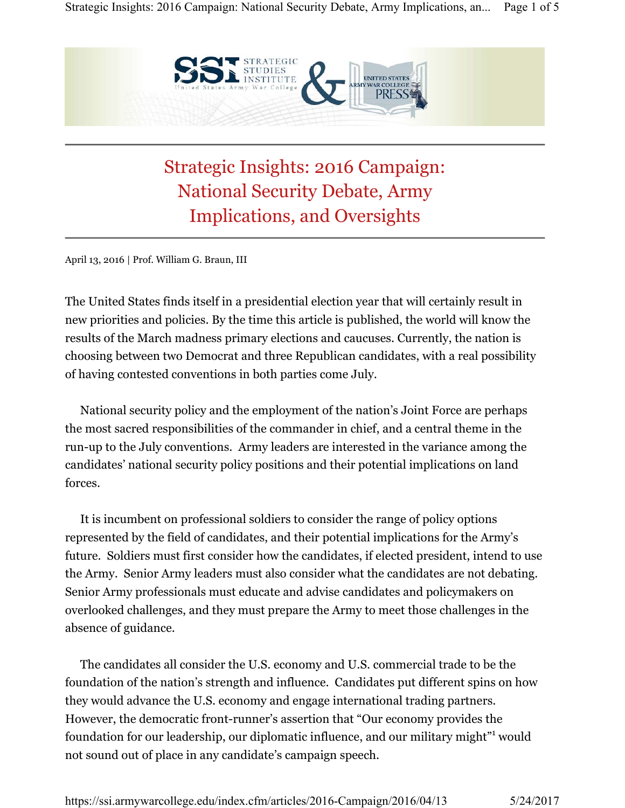

## Strategic Insights: 2016 Campaign: National Security Debate, Army Implications, and Oversights

April 13, 2016 | Prof. William G. Braun, III

The United States finds itself in a presidential election year that will certainly result in new priorities and policies. By the time this article is published, the world will know the results of the March madness primary elections and caucuses. Currently, the nation is choosing between two Democrat and three Republican candidates, with a real possibility of having contested conventions in both parties come July.

National security policy and the employment of the nation's Joint Force are perhaps the most sacred responsibilities of the commander in chief, and a central theme in the run-up to the July conventions. Army leaders are interested in the variance among the candidates' national security policy positions and their potential implications on land forces.

It is incumbent on professional soldiers to consider the range of policy options represented by the field of candidates, and their potential implications for the Army's future. Soldiers must first consider how the candidates, if elected president, intend to use the Army. Senior Army leaders must also consider what the candidates are not debating. Senior Army professionals must educate and advise candidates and policymakers on overlooked challenges, and they must prepare the Army to meet those challenges in the absence of guidance.

The candidates all consider the U.S. economy and U.S. commercial trade to be the foundation of the nation's strength and influence. Candidates put different spins on how they would advance the U.S. economy and engage international trading partners. However, the democratic front-runner's assertion that "Our economy provides the foundation for our leadership, our diplomatic influence, and our military might"1 would not sound out of place in any candidate's campaign speech.

https://ssi.armywarcollege.edu/index.cfm/articles/2016-Campaign/2016/04/13 5/24/2017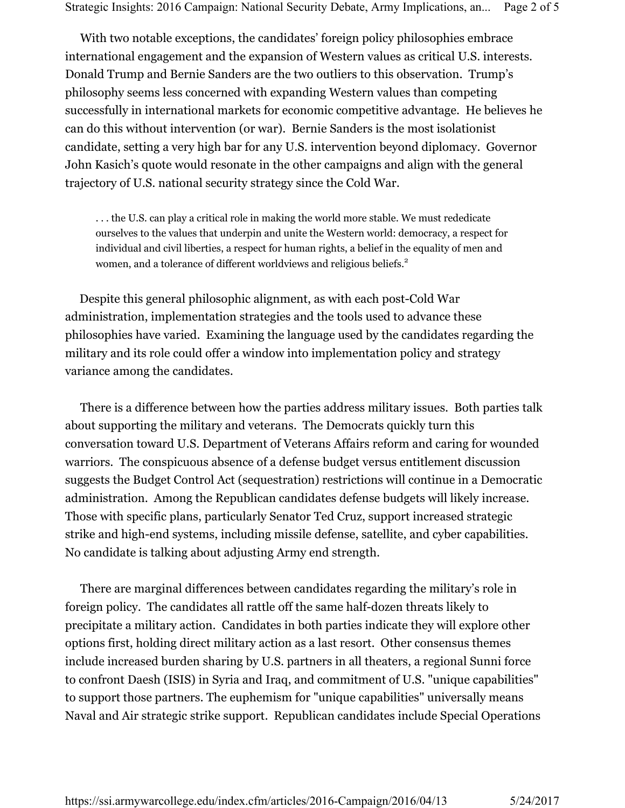With two notable exceptions, the candidates' foreign policy philosophies embrace international engagement and the expansion of Western values as critical U.S. interests. Donald Trump and Bernie Sanders are the two outliers to this observation. Trump's philosophy seems less concerned with expanding Western values than competing successfully in international markets for economic competitive advantage. He believes he can do this without intervention (or war). Bernie Sanders is the most isolationist candidate, setting a very high bar for any U.S. intervention beyond diplomacy. Governor John Kasich's quote would resonate in the other campaigns and align with the general trajectory of U.S. national security strategy since the Cold War.

. . . the U.S. can play a critical role in making the world more stable. We must rededicate ourselves to the values that underpin and unite the Western world: democracy, a respect for individual and civil liberties, a respect for human rights, a belief in the equality of men and women, and a tolerance of different worldviews and religious beliefs.<sup>2</sup>

 Despite this general philosophic alignment, as with each post-Cold War administration, implementation strategies and the tools used to advance these philosophies have varied. Examining the language used by the candidates regarding the military and its role could offer a window into implementation policy and strategy variance among the candidates.

There is a difference between how the parties address military issues. Both parties talk about supporting the military and veterans. The Democrats quickly turn this conversation toward U.S. Department of Veterans Affairs reform and caring for wounded warriors. The conspicuous absence of a defense budget versus entitlement discussion suggests the Budget Control Act (sequestration) restrictions will continue in a Democratic administration. Among the Republican candidates defense budgets will likely increase. Those with specific plans, particularly Senator Ted Cruz, support increased strategic strike and high-end systems, including missile defense, satellite, and cyber capabilities. No candidate is talking about adjusting Army end strength.

There are marginal differences between candidates regarding the military's role in foreign policy. The candidates all rattle off the same half-dozen threats likely to precipitate a military action. Candidates in both parties indicate they will explore other options first, holding direct military action as a last resort. Other consensus themes include increased burden sharing by U.S. partners in all theaters, a regional Sunni force to confront Daesh (ISIS) in Syria and Iraq, and commitment of U.S. "unique capabilities" to support those partners. The euphemism for "unique capabilities" universally means Naval and Air strategic strike support. Republican candidates include Special Operations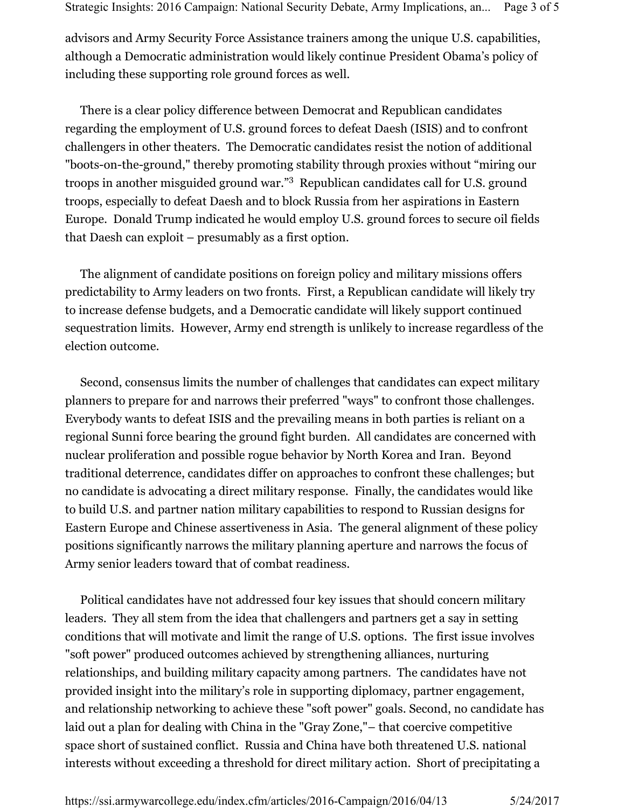advisors and Army Security Force Assistance trainers among the unique U.S. capabilities, although a Democratic administration would likely continue President Obama's policy of including these supporting role ground forces as well.

There is a clear policy difference between Democrat and Republican candidates regarding the employment of U.S. ground forces to defeat Daesh (ISIS) and to confront challengers in other theaters. The Democratic candidates resist the notion of additional "boots-on-the-ground," thereby promoting stability through proxies without "miring our troops in another misguided ground war."<sup>3</sup> Republican candidates call for U.S. ground troops, especially to defeat Daesh and to block Russia from her aspirations in Eastern Europe. Donald Trump indicated he would employ U.S. ground forces to secure oil fields that Daesh can exploit – presumably as a first option.

The alignment of candidate positions on foreign policy and military missions offers predictability to Army leaders on two fronts. First, a Republican candidate will likely try to increase defense budgets, and a Democratic candidate will likely support continued sequestration limits. However, Army end strength is unlikely to increase regardless of the election outcome.

Second, consensus limits the number of challenges that candidates can expect military planners to prepare for and narrows their preferred "ways" to confront those challenges. Everybody wants to defeat ISIS and the prevailing means in both parties is reliant on a regional Sunni force bearing the ground fight burden. All candidates are concerned with nuclear proliferation and possible rogue behavior by North Korea and Iran. Beyond traditional deterrence, candidates differ on approaches to confront these challenges; but no candidate is advocating a direct military response. Finally, the candidates would like to build U.S. and partner nation military capabilities to respond to Russian designs for Eastern Europe and Chinese assertiveness in Asia. The general alignment of these policy positions significantly narrows the military planning aperture and narrows the focus of Army senior leaders toward that of combat readiness.

Political candidates have not addressed four key issues that should concern military leaders. They all stem from the idea that challengers and partners get a say in setting conditions that will motivate and limit the range of U.S. options. The first issue involves "soft power" produced outcomes achieved by strengthening alliances, nurturing relationships, and building military capacity among partners. The candidates have not provided insight into the military's role in supporting diplomacy, partner engagement, and relationship networking to achieve these "soft power" goals. Second, no candidate has laid out a plan for dealing with China in the "Gray Zone,"– that coercive competitive space short of sustained conflict. Russia and China have both threatened U.S. national interests without exceeding a threshold for direct military action. Short of precipitating a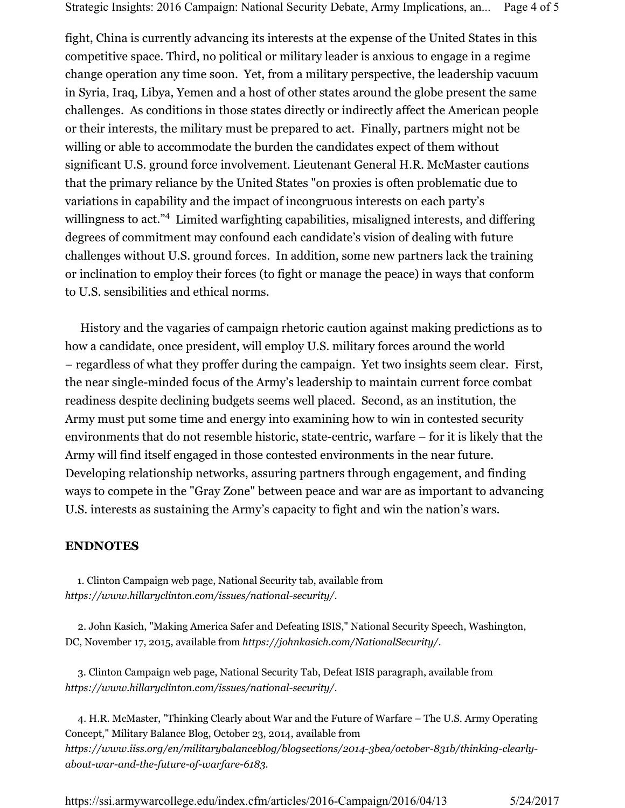fight, China is currently advancing its interests at the expense of the United States in this competitive space. Third, no political or military leader is anxious to engage in a regime change operation any time soon. Yet, from a military perspective, the leadership vacuum in Syria, Iraq, Libya, Yemen and a host of other states around the globe present the same challenges. As conditions in those states directly or indirectly affect the American people or their interests, the military must be prepared to act. Finally, partners might not be willing or able to accommodate the burden the candidates expect of them without significant U.S. ground force involvement. Lieutenant General H.R. McMaster cautions that the primary reliance by the United States "on proxies is often problematic due to variations in capability and the impact of incongruous interests on each party's willingness to act."<sup>4</sup> Limited warfighting capabilities, misaligned interests, and differing degrees of commitment may confound each candidate's vision of dealing with future challenges without U.S. ground forces. In addition, some new partners lack the training or inclination to employ their forces (to fight or manage the peace) in ways that conform to U.S. sensibilities and ethical norms.

History and the vagaries of campaign rhetoric caution against making predictions as to how a candidate, once president, will employ U.S. military forces around the world – regardless of what they proffer during the campaign. Yet two insights seem clear. First, the near single-minded focus of the Army's leadership to maintain current force combat readiness despite declining budgets seems well placed. Second, as an institution, the Army must put some time and energy into examining how to win in contested security environments that do not resemble historic, state-centric, warfare – for it is likely that the Army will find itself engaged in those contested environments in the near future. Developing relationship networks, assuring partners through engagement, and finding ways to compete in the "Gray Zone" between peace and war are as important to advancing U.S. interests as sustaining the Army's capacity to fight and win the nation's wars.

## **ENDNOTES**

 1. Clinton Campaign web page, National Security tab, available from *https://www.hillaryclinton.com/issues/national-security/*.

2. John Kasich, "Making America Safer and Defeating ISIS," National Security Speech, Washington, DC, November 17, 2015, available from *https://johnkasich.com/NationalSecurity/*.

3. Clinton Campaign web page, National Security Tab, Defeat ISIS paragraph, available from *https://www.hillaryclinton.com/issues/national-security/*.

4. H.R. McMaster, "Thinking Clearly about War and the Future of Warfare – The U.S. Army Operating Concept," Military Balance Blog, October 23, 2014, available from *https://www.iiss.org/en/militarybalanceblog/blogsections/2014-3bea/october-831b/thinking-clearlyabout-war-and-the-future-of-warfare-6183*.

https://ssi.armywarcollege.edu/index.cfm/articles/2016-Campaign/2016/04/13 5/24/2017